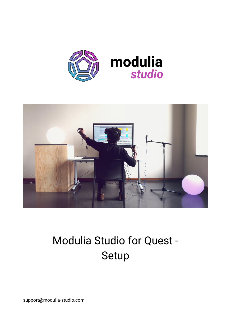



## Modulia Studio for Quest - Setup

[support@modulia-studio.com](https://modulia-studio.com/)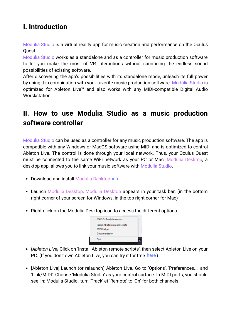## **I. Introduction**

Modulia Studio is a virtual reality app for music creation and performance on the Oculus Quest.

Modulia Studio works as a standalone and as a controller for music production software to let you make the most of VR interactions without sacrificing the endless sound possibilities of existing software.

After discovering the app's possibilities with its standalone mode, unleash its full power by using it in combination with your favorite music production software: Modulia Studio is optimized for Ableton Live™ and also works with any MIDI-compatible Digital Audio Worskstation.

## **II. How to use Modulia Studio as a music production software controller**

Modulia Studio can be used as a controller for any music production software. The app is compatible with any Windows or MacOS software using MIDI and is optimized to control Ableton Live. The control is done through your local network. Thus, your Oculus Quest must be connected to the same WiFi network as your PC or Mac. Modulia Desktop, a desktop app, allows you to link your music software with Modulia Studio.

- Download and install Modulia Desktop[here.](https://www.modulia-studio.com/get-modulia-studio/#desktop)
- Launch Modulia Desktop. Modulia Desktop appears in your task bar, (in the bottom right corner of your screen for Windows, in the top right corner for Mac)
- Right-click on the Modulia Desktop icon to access the different options.



- *[Ableton Live]* Click on 'Install Ableton remote scripts', then select Ableton Live on your PC. (If you don't own Ableton Live, you can try it for free here).
- [Ableton Live] Launch (or relaunch) Ableton Live. Go to 'Options', 'Preferences...' and 'Link/MIDI'. Choose 'Modulia Studio' as your control surface. In MIDI ports, you should see 'In: Modulia Studio', turn 'Track' et 'Remote' to 'On' for both channels.